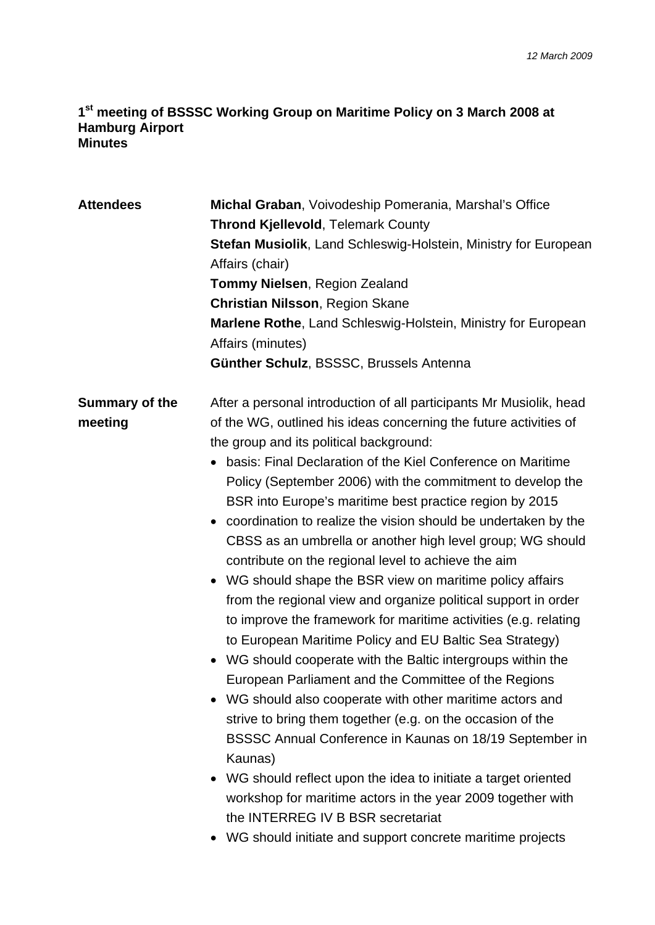## **1st meeting of BSSSC Working Group on Maritime Policy on 3 March 2008 at Hamburg Airport Minutes**

| <b>Attendees</b>          | Michal Graban, Voivodeship Pomerania, Marshal's Office<br><b>Thrond Kjellevold, Telemark County</b><br><b>Stefan Musiolik, Land Schleswig-Holstein, Ministry for European</b><br>Affairs (chair)<br><b>Tommy Nielsen, Region Zealand</b><br><b>Christian Nilsson, Region Skane</b><br>Marlene Rothe, Land Schleswig-Holstein, Ministry for European<br>Affairs (minutes)<br>Günther Schulz, BSSSC, Brussels Antenna                                                                                                                                                                                                                                                                                                                                                                                                                                                                                                                                                                                                                                                                                                                                                                                                                                                                                                                                                                          |
|---------------------------|----------------------------------------------------------------------------------------------------------------------------------------------------------------------------------------------------------------------------------------------------------------------------------------------------------------------------------------------------------------------------------------------------------------------------------------------------------------------------------------------------------------------------------------------------------------------------------------------------------------------------------------------------------------------------------------------------------------------------------------------------------------------------------------------------------------------------------------------------------------------------------------------------------------------------------------------------------------------------------------------------------------------------------------------------------------------------------------------------------------------------------------------------------------------------------------------------------------------------------------------------------------------------------------------------------------------------------------------------------------------------------------------|
| Summary of the<br>meeting | After a personal introduction of all participants Mr Musiolik, head<br>of the WG, outlined his ideas concerning the future activities of<br>the group and its political background:<br>basis: Final Declaration of the Kiel Conference on Maritime<br>Policy (September 2006) with the commitment to develop the<br>BSR into Europe's maritime best practice region by 2015<br>• coordination to realize the vision should be undertaken by the<br>CBSS as an umbrella or another high level group; WG should<br>contribute on the regional level to achieve the aim<br>• WG should shape the BSR view on maritime policy affairs<br>from the regional view and organize political support in order<br>to improve the framework for maritime activities (e.g. relating<br>to European Maritime Policy and EU Baltic Sea Strategy)<br>WG should cooperate with the Baltic intergroups within the<br>European Parliament and the Committee of the Regions<br>• WG should also cooperate with other maritime actors and<br>strive to bring them together (e.g. on the occasion of the<br>BSSSC Annual Conference in Kaunas on 18/19 September in<br>Kaunas)<br>WG should reflect upon the idea to initiate a target oriented<br>workshop for maritime actors in the year 2009 together with<br>the INTERREG IV B BSR secretariat<br>• WG should initiate and support concrete maritime projects |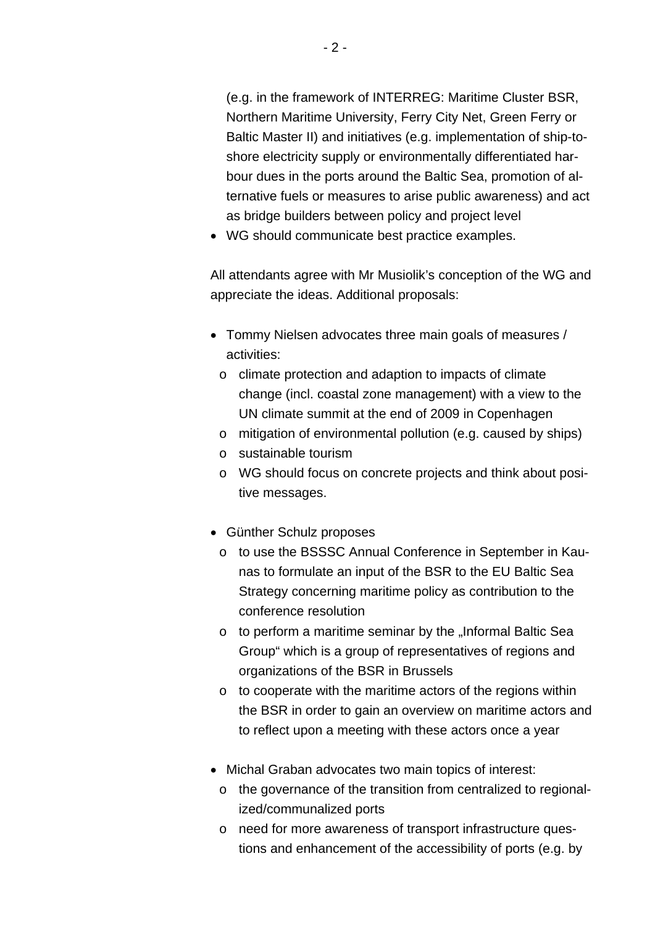(e.g. in the framework of INTERREG: Maritime Cluster BSR, Northern Maritime University, Ferry City Net, Green Ferry or Baltic Master II) and initiatives (e.g. implementation of ship-toshore electricity supply or environmentally differentiated harbour dues in the ports around the Baltic Sea, promotion of alternative fuels or measures to arise public awareness) and act as bridge builders between policy and project level

WG should communicate best practice examples.

All attendants agree with Mr Musiolik's conception of the WG and appreciate the ideas. Additional proposals:

- Tommy Nielsen advocates three main goals of measures / activities:
	- o climate protection and adaption to impacts of climate change (incl. coastal zone management) with a view to the UN climate summit at the end of 2009 in Copenhagen
	- o mitigation of environmental pollution (e.g. caused by ships)
	- o sustainable tourism
	- o WG should focus on concrete projects and think about positive messages.
- Günther Schulz proposes
	- o to use the BSSSC Annual Conference in September in Kaunas to formulate an input of the BSR to the EU Baltic Sea Strategy concerning maritime policy as contribution to the conference resolution
	- $\circ$  to perform a maritime seminar by the "Informal Baltic Sea Group" which is a group of representatives of regions and organizations of the BSR in Brussels
	- o to cooperate with the maritime actors of the regions within the BSR in order to gain an overview on maritime actors and to reflect upon a meeting with these actors once a year
- Michal Graban advocates two main topics of interest:
	- o the governance of the transition from centralized to regionalized/communalized ports
	- o need for more awareness of transport infrastructure questions and enhancement of the accessibility of ports (e.g. by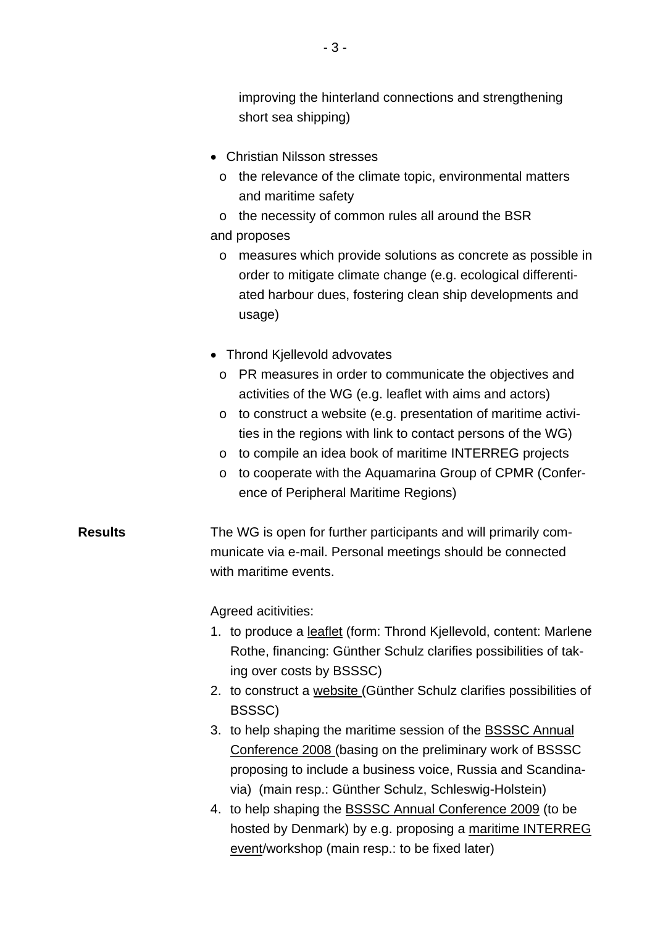improving the hinterland connections and strengthening short sea shipping)

- Christian Nilsson stresses
	- o the relevance of the climate topic, environmental matters and maritime safety
- o the necessity of common rules all around the BSR and proposes
	- o measures which provide solutions as concrete as possible in order to mitigate climate change (e.g. ecological differentiated harbour dues, fostering clean ship developments and usage)
- Thrond Kiellevold advovates
	- o PR measures in order to communicate the objectives and activities of the WG (e.g. leaflet with aims and actors)
	- o to construct a website (e.g. presentation of maritime activities in the regions with link to contact persons of the WG)
	- o to compile an idea book of maritime INTERREG projects
	- o to cooperate with the Aquamarina Group of CPMR (Conference of Peripheral Maritime Regions)

**Results** The WG is open for further participants and will primarily communicate via e-mail. Personal meetings should be connected with maritime events.

Agreed acitivities:

- 1. to produce a leaflet (form: Thrond Kjellevold, content: Marlene Rothe, financing: Günther Schulz clarifies possibilities of taking over costs by BSSSC)
- 2. to construct a website (Günther Schulz clarifies possibilities of BSSSC)
- 3. to help shaping the maritime session of the BSSSC Annual Conference 2008 (basing on the preliminary work of BSSSC proposing to include a business voice, Russia and Scandinavia) (main resp.: Günther Schulz, Schleswig-Holstein)
- 4. to help shaping the BSSSC Annual Conference 2009 (to be hosted by Denmark) by e.g. proposing a maritime INTERREG event/workshop (main resp.: to be fixed later)